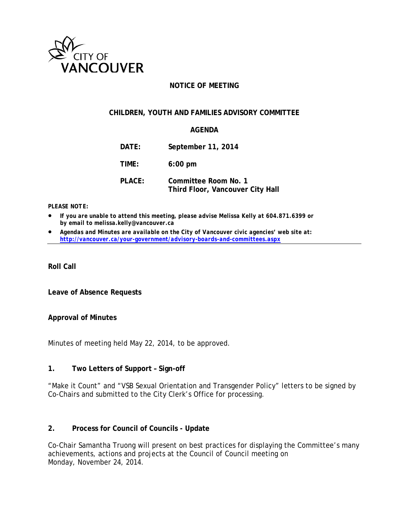

### **NOTICE OF MEETING**

#### **CHILDREN, YOUTH AND FAMILIES ADVISORY COMMITTEE**

#### **AGENDA**

| DATE:  | September 11, 2014                                       |
|--------|----------------------------------------------------------|
| TIME:  | $6:00$ pm                                                |
| PLACE: | Committee Room No. 1<br>Third Floor, Vancouver City Hall |

#### *PLEASE NOTE:*

- *If you are unable to attend this meeting, please advise Melissa Kelly at 604.871.6399 or by email to melissa.kelly@vancouver.ca*
- *Agendas and Minutes are available on the City of Vancouver civic agencies' web site at: <http://vancouver.ca/your-government/advisory-boards-and-committees.aspx>*

**Roll Call**

**Leave of Absence Requests**

#### **Approval of Minutes**

Minutes of meeting held May 22, 2014, to be approved.

#### **1. Two Letters of Support – Sign-off**

"Make it Count" and "VSB Sexual Orientation and Transgender Policy" letters to be signed by Co-Chairs and submitted to the City Clerk's Office for processing.

### **2. Process for Council of Councils - Update**

Co-Chair Samantha Truong will present on best practices for displaying the Committee's many achievements, actions and projects at the Council of Council meeting on Monday, November 24, 2014.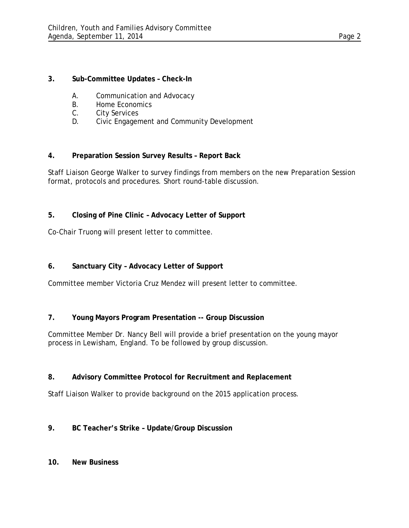### **3. Sub-Committee Updates – Check-In**

- A. Communication and Advocacy
- B. Home Economics<br>C. City Services
- City Services
- D. Civic Engagement and Community Development

### **4. Preparation Session Survey Results – Report Back**

Staff Liaison George Walker to survey findings from members on the new Preparation Session format, protocols and procedures. Short round-table discussion.

### **5. Closing of Pine Clinic – Advocacy Letter of Support**

Co-Chair Truong will present letter to committee.

## **6. Sanctuary City – Advocacy Letter of Support**

Committee member Victoria Cruz Mendez will present letter to committee.

## **7. Young Mayors Program Presentation -- Group Discussion**

Committee Member Dr. Nancy Bell will provide a brief presentation on the young mayor process in Lewisham, England. To be followed by group discussion.

### **8. Advisory Committee Protocol for Recruitment and Replacement**

Staff Liaison Walker to provide background on the 2015 application process.

## **9. BC Teacher's Strike – Update/Group Discussion**

### **10. New Business**